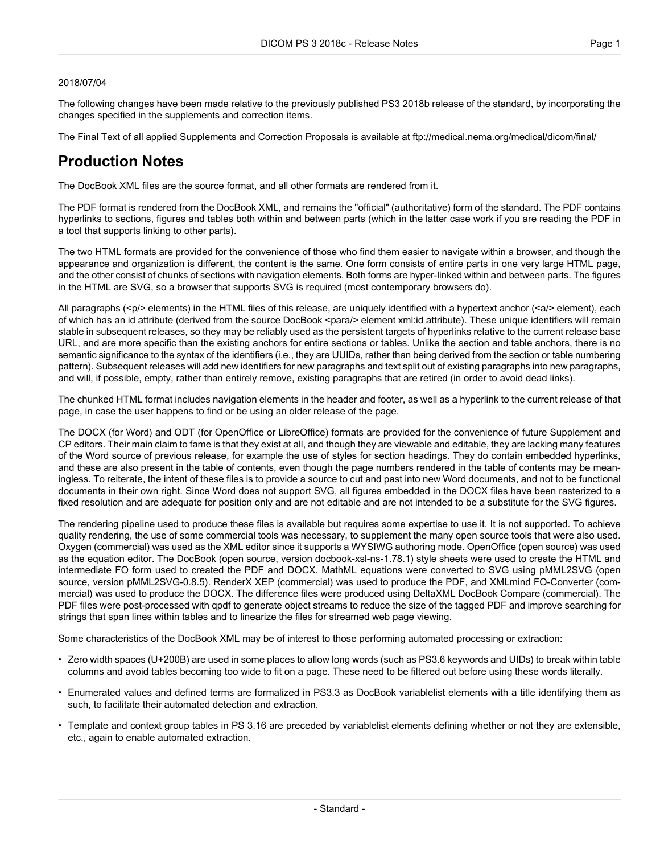#### 2018/07/04

The following changes have been made relative to the previously published PS3 2018b release of the standard, by incorporating the changes specified in the supplements and correction items.

The Final Text of all applied Supplements and Correction Proposals is available at <ftp://medical.nema.org/medical/dicom/final/>

## **Production Notes**

The DocBook XML files are the source format, and all other formats are rendered from it.

The PDF format is rendered from the DocBook XML, and remains the "official" (authoritative) form of the standard. The PDF contains hyperlinks to sections, figures and tables both within and between parts (which in the latter case work if you are reading the PDF in a tool that supports linking to other parts).

The two HTML formats are provided for the convenience of those who find them easier to navigate within a browser, and though the appearance and organization is different, the content is the same. One form consists of entire parts in one very large HTML page, and the other consist of chunks of sections with navigation elements. Both forms are hyper-linked within and between parts. The figures in the HTML are SVG, so a browser that supports SVG is required (most contemporary browsers do).

All paragraphs (<p/> elements) in the HTML files of this release, are uniquely identified with a hypertext anchor (<a/><a/>> element), each of which has an id attribute (derived from the source DocBook <para/> element xml:id attribute). These unique identifiers will remain stable in subsequent releases, so they may be reliably used as the persistent targets of hyperlinks relative to the current release base URL, and are more specific than the existing anchors for entire sections or tables. Unlike the section and table anchors, there is no semantic significance to the syntax of the identifiers (i.e., they are UUIDs, rather than being derived from the section or table numbering pattern). Subsequent releases will add new identifiers for new paragraphs and text split out of existing paragraphs into new paragraphs, and will, if possible, empty, rather than entirely remove, existing paragraphs that are retired (in order to avoid dead links).

The chunked HTML format includes navigation elements in the header and footer, as well as a hyperlink to the current release of that page, in case the user happens to find or be using an older release of the page.

The DOCX (for Word) and ODT (for OpenOffice or LibreOffice) formats are provided for the convenience of future Supplement and CP editors. Their main claim to fame is that they exist at all, and though they are viewable and editable, they are lacking many features of the Word source of previous release, for example the use of styles for section headings. They do contain embedded hyperlinks, and these are also present in the table of contents, even though the page numbers rendered in the table of contents may be mean ingless. To reiterate, the intent of these files is to provide a source to cut and past into new Word documents, and not to be functional documents in their own right. Since Word does not support SVG, all figures embedded in the DOCX files have been rasterized to a fixed resolution and are adequate for position only and are not editable and are not intended to be a substitute for the SVG figures.

The rendering pipeline used to produce these files is available but requires some expertise to use it. It is not supported. To achieve quality rendering, the use of some commercial tools was necessary, to supplement the many open source tools that were also used. Oxygen (commercial) was used as the XML editor since it supports a WYSIWG authoring mode. OpenOffice (open source) was used as the equation editor. The DocBook (open source, version docbook-xsl-ns-1.78.1) style sheets were used to create the HTML and intermediate FO form used to created the PDF and DOCX. MathML equations were converted to SVG using pMML2SVG (open source, version pMML2SVG-0.8.5). RenderX XEP (commercial) was used to produce the PDF, and XMLmind FO-Converter (com mercial) was used to produce the DOCX. The difference files were produced using DeltaXML DocBook Compare (commercial). The PDF files were post-processed with qpdf to generate object streams to reduce the size of the tagged PDF and improve searching for strings that span lines within tables and to linearize the files for streamed web page viewing.

Some characteristics of the DocBook XML may be of interest to those performing automated processing or extraction:

- Zero width spaces (U+200B) are used in some places to allow long words (such as PS3.6 keywords and UIDs) to break within table columns and avoid tables becoming too wide to fit on a page. These need to be filtered out before using these words literally.
- Enumerated values and defined terms are formalized in PS3.3 as DocBook variablelist elements with a title identifying them as such, to facilitate their automated detection and extraction.
- Template and context group tables in PS 3.16 are preceded by variablelist elements defining whether or not they are extensible, etc., again to enable automated extraction.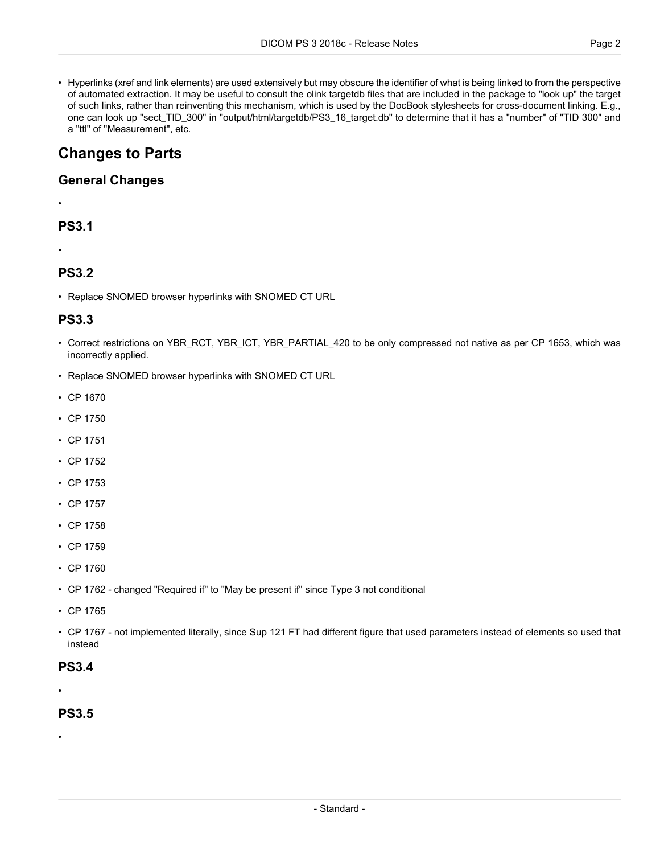• Hyperlinks (xref and link elements) are used extensively but may obscure the identifier of what is being linked to from the perspective of automated extraction. It may be useful to consult the olink targetdb files that are included in the package to "look up" the target of such links, rather than reinventing this mechanism, which is used by the DocBook stylesheets for cross-document linking. E.g., one can look up "sect\_TID\_300" in "output/html/targetdb/PS3\_16\_target.db" to determine that it has a "number" of "TID 300" and a "ttl" of "Measurement", etc.

# **Changes to Parts**

#### **General Changes**

# **PS3.1**

•

•

### **PS3.2**

• Replace SNOMED browser hyperlinks with SNOMED CT URL

#### **PS3.3**

- Correct restrictions on YBR\_RCT, YBR\_ICT, YBR\_PARTIAL\_420 to be only compressed not native as per CP 1653, which was incorrectly applied.
- Replace SNOMED browser hyperlinks with SNOMED CT URL
- CP [1670](#page-3-0)
- CP [1750](#page-3-1)
- CP [1751](#page-3-2)
- CP [1752](#page-3-3)
- CP [1753](#page-3-4)
- CP [1757](#page-3-5)
- CP [1758](#page-3-6)
- CP [1759](#page-3-7)
- CP [1760](#page-3-8)
- CP [1762](#page-3-9) changed "Required if" to "May be present if" since Type 3 not conditional
- CP [1765](#page-3-10)
- CP [1767](#page-3-10) not implemented literally, since Sup 121 FT had different figure that used parameters instead of elements so used that instead

#### **PS3.4**

•

#### **PS3.5**

•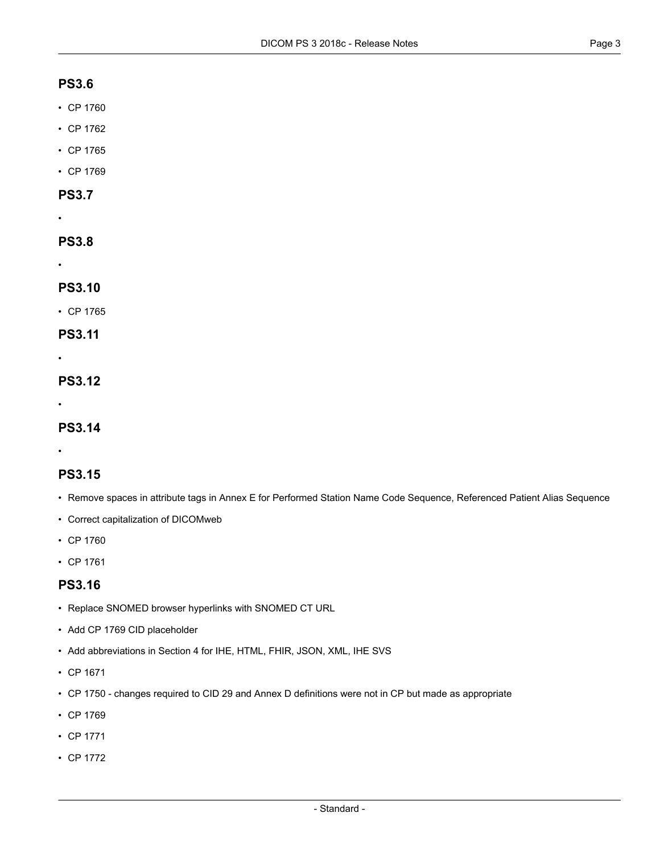#### **PS3.6**

- CP [1760](#page-3-8)
- CP [1762](#page-3-9)
- CP [1765](#page-3-10)
- CP [1769](#page-4-0)

#### **PS3.7**

•

#### **PS3.8**

•

#### **PS3.10**

- CP [1765](#page-3-10)
- **PS3.11**
- •

### **PS3.12**

•

#### **PS3.14**

•

### **PS3.15**

- Remove spaces in attribute tags in Annex E for Performed Station Name Code Sequence, Referenced Patient Alias Sequence
- Correct capitalization of DICOMweb
- CP [1760](#page-3-8)
- CP [1761](#page-3-11)

### **PS3.16**

- Replace SNOMED browser hyperlinks with SNOMED CT URL
- Add CP 1769 CID placeholder
- Add abbreviations in Section 4 for IHE, HTML, FHIR, JSON, XML, IHE SVS
- CP [1671](#page-3-12)
- CP 1750 changes required to CID 29 and Annex D definitions were not in CP but made as [appropriate](#page-3-1)
- CP [1769](#page-4-0)
- CP [1771](#page-4-1)
- CP [1772](#page-4-2)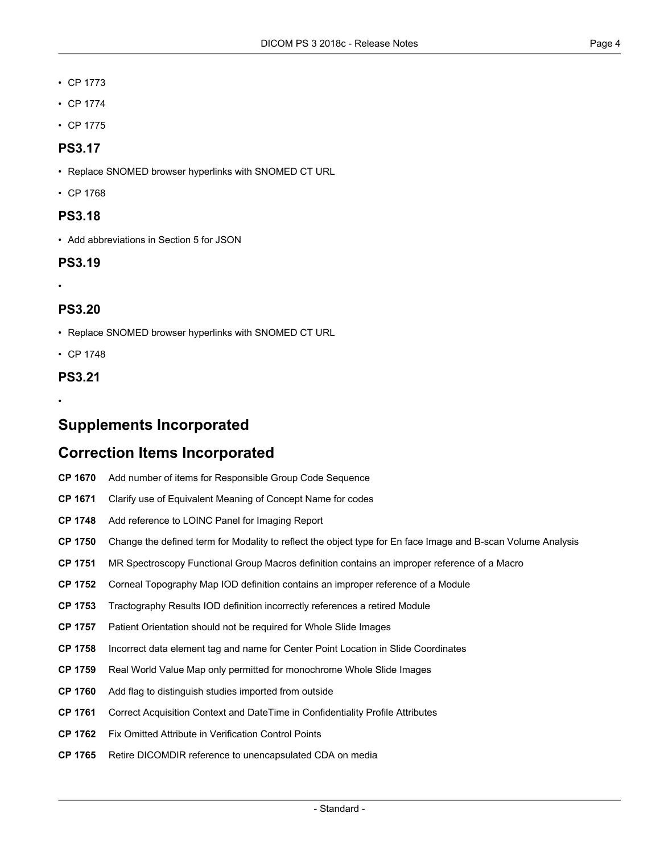- CP [1773](#page-4-3)
- CP [1774](#page-4-4)
- CP [1775](#page-4-5)

### **PS3.17**

- Replace SNOMED browser hyperlinks with SNOMED CT URL
- CP [1768](#page-4-6)

#### **PS3.18**

• Add abbreviations in Section 5 for JSON

#### **PS3.19**

•

### **PS3.20**

• Replace SNOMED browser hyperlinks with SNOMED CT URL

• CP [1748](#page-3-13)

#### **PS3.21**

•

## <span id="page-3-0"></span>**Supplements Incorporated**

## <span id="page-3-12"></span>**Correction Items Incorporated**

- <span id="page-3-13"></span>**CP [1670](ftp://medical.nema.org/medical/dicom/final/cp1670_ft_AddNumberOfItemsToResponsibleOrganization.pdf)** Add number of items for Responsible Group Code Sequence
- <span id="page-3-2"></span><span id="page-3-1"></span>**CP [1671](ftp://medical.nema.org/medical/dicom/final/cp1671_ft_CodedEquivalentMeaningofConceptName.pdf)** Clarify use of Equivalent Meaning of Concept Name for codes
- <span id="page-3-3"></span>**CP [1748](ftp://medical.nema.org/medical/dicom/final/cp1748_ft_LOINCimagereportpanel.pdf)** Add reference to LOINC Panel for Imaging Report
- <span id="page-3-4"></span>**CP [1750](ftp://medical.nema.org/medical/dicom/final/cp1750_ft_changeOCTEnfaceandBscanVolmodalityvalue.pdf)** Change the defined term for Modality to reflect the object type for En face Image and B-scan Volume Analysis
- <span id="page-3-5"></span>**CP [1751](ftp://medical.nema.org/medical/dicom/final/cp1751_ft_mr_spectro_frame_type.pdf)** MR Spectroscopy Functional Group Macros definition contains an improper reference of a Macro
- <span id="page-3-6"></span>**CP [1752](ftp://medical.nema.org/medical/dicom/final/cp1752_ft_palette_color_lut.pdf)** Corneal Topography Map IOD definition contains an improper reference of a Module
- <span id="page-3-7"></span>**CP [1753](ftp://medical.nema.org/medical/dicom/final/cp1753_ft_ref_to_retired_specimen_id_module.pdf)** Tractography Results IOD definition incorrectly references a retired Module
- <span id="page-3-8"></span>**CP [1757](ftp://medical.nema.org/medical/dicom/final/cp1757_ft_wsipatientorientation.pdf)** Patient Orientation should not be required for Whole Slide Images
- <span id="page-3-11"></span>**CP [1758](ftp://medical.nema.org/medical/dicom/final/cp1758_ft_slidecoordimagecenterpointwrongtag.pdf)** Incorrect data element tag and name for Center Point Location in Slide Coordinates
- <span id="page-3-10"></span><span id="page-3-9"></span>**CP [1759](ftp://medical.nema.org/medical/dicom/final/cp1759_ft_wsirwvmmonochromeonly.pdf)** Real World Value Map only permitted for monochrome Whole Slide Images
- **CP [1760](ftp://medical.nema.org/medical/dicom/final/cp1760_ft_flagdistinguishoutsidestudies.pdf)** Add flag to distinguish studies imported from outside
- **CP [1761](ftp://medical.nema.org/medical/dicom/final/cp1761_ft_correcttdeidentifyacqctxanddt.pdf)** Correct Acquisition Context and DateTime in Confidentiality Profile Attributes
- **CP [1762](ftp://medical.nema.org/medical/dicom/final/cp1762_ft_FixOmittedAttributeInVerificationControlPoints.pdf)** Fix Omitted Attribute in Verification Control Points
- **CP [1765](ftp://medical.nema.org/medical/dicom/final/cp1765_ft_retireDICOMDIRreferencetounencapsulatedCDAonmedia.pdf)** Retire DICOMDIR reference to unencapsulated CDA on media